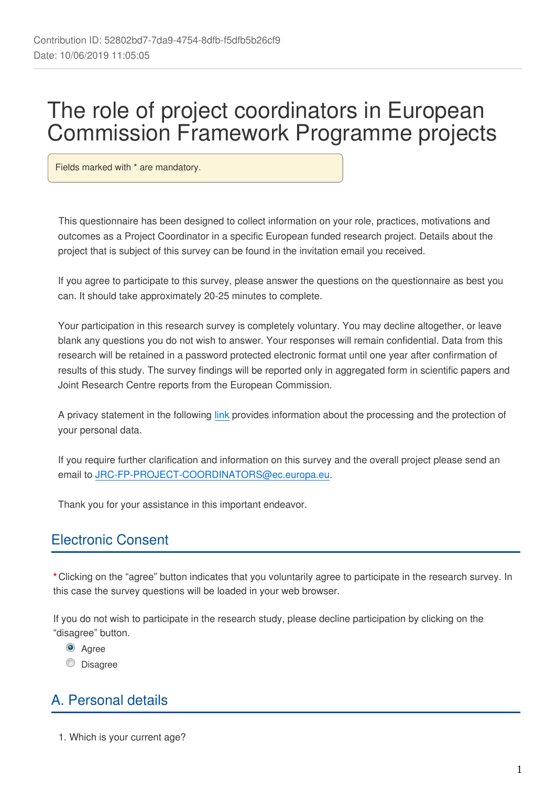# The role of project coordinators in European Commission Framework Programme projects

Fields marked with \* are mandatory.

This questionnaire has been designed to collect information on your role, practices, motivations and outcomes as a Project Coordinator in a specific European funded research project. Details about the project that is subject of this survey can be found in the invitation email you received.

If you agree to participate to this survey, please answer the questions on the questionnaire as best you can. It should take approximately 20-25 minutes to complete.

Your participation in this research survey is completely voluntary. You may decline altogether, or leave blank any questions you do not wish to answer. Your responses will remain confidential. Data from this research will be retained in a password protected electronic format until one year after confirmation of results of this study. The survey findings will be reported only in aggregated form in scientific papers and Joint Research Centre reports from the European Commission.

A privacy statement in the following [link](https://ec.europa.eu/eusurvey/files/ea73937f-51bf-424e-9325-5487d9af6ac9/3cb7673f-7fdf-49a9-b2e8-9d823af11967) provides information about the processing and the protection of your personal data.

If you require further clarification and information on this survey and the overall project please send an email to JRC-FP-PROJECT-COORDINATORS@ec.europa.eu.

Thank you for your assistance in this important endeavor.

### Electronic Consent

**\***Clicking on the "agree" button indicates that you voluntarily agree to participate in the research survey. In this case the survey questions will be loaded in your web browser.

If you do not wish to participate in the research study, please decline participation by clicking on the "disagree" button.

<sup>O</sup> Agree

**Disagree** 

# A. Personal details

1. Which is your current age?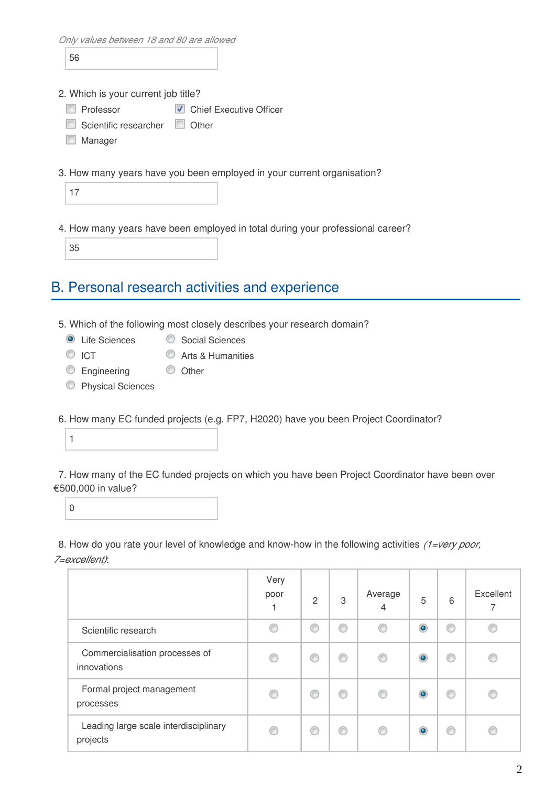*Only values between 18 and 80 are allowed*

56

2. Which is your current job title?

**Professor V** Chief Executive Officer

- Scientific researcher **Other**
- **Manager**
- 3. How many years have you been employed in your current organisation?

17

4. How many years have been employed in total during your professional career?

35

### B. Personal research activities and experience

- 5. Which of the following most closely describes your research domain?
	- C Life Sciences Social Sciences
	- C ICT C Arts & Humanities
	- C Engineering C Other
	- **C** Physical Sciences
- 6. How many EC funded projects (e.g. FP7, H2020) have you been Project Coordinator?

1

7. How many of the EC funded projects on which you have been Project Coordinator have been over €500,000 in value?

 $\overline{0}$ 

8. How do you rate your level of knowledge and know-how in the following activities *(1=very poor, 7=excellent)*:

|                                                   | Very<br>poor | $\overline{2}$ | 3 | Average<br>4 | 5         | 6 | Excellent<br>7 |
|---------------------------------------------------|--------------|----------------|---|--------------|-----------|---|----------------|
| Scientific research                               | €            | €              | ⊙ | €            | $\bullet$ |   | C              |
| Commercialisation processes of<br>innovations     | ⊙            |                | ⊙ | C            | $\bullet$ |   | C              |
| Formal project management<br>processes            | O            | 0              | ⊙ | C            | $\bullet$ |   | e              |
| Leading large scale interdisciplinary<br>projects | C            |                | ⊙ | €            | $\bullet$ |   |                |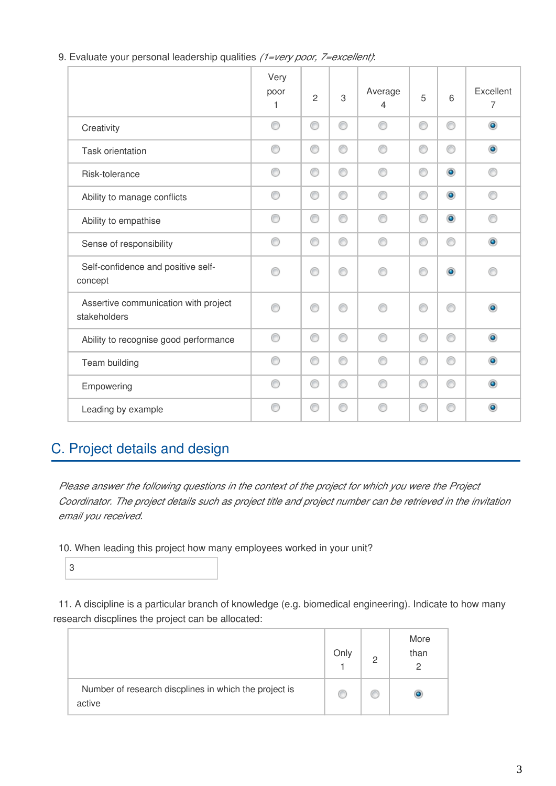|                                                      | Very<br>poor<br>1 | $\overline{2}$ | 3 | Average<br>4 | 5 | 6              | Excellent<br>$\overline{7}$ |
|------------------------------------------------------|-------------------|----------------|---|--------------|---|----------------|-----------------------------|
| Creativity                                           | ⊙                 | ⊙              | ⊙ | ∩            | 0 | ⊙              | $\circledcirc$              |
| <b>Task orientation</b>                              | ⊙                 | ⊙              | ⊙ | ∩            | 0 | ⊙              | $\circledcirc$              |
| Risk-tolerance                                       | ⊙                 | ⊙              | 0 | ∩            | ⊙ | $\circledcirc$ | ⊙                           |
| Ability to manage conflicts                          | ⊙                 | ⊙              | ⊙ | ⋒            | ⊙ | $\bullet$      | ⋒                           |
| Ability to empathise                                 | ⊙                 | ⊙              | ⊙ | ∩            | ⊙ | $\bullet$      | ⊙                           |
| Sense of responsibility                              | 0                 | ⊙              | ⊙ | ⊙            | 0 | ⊙              | $\bullet$                   |
| Self-confidence and positive self-<br>concept        | ∩                 | ⋒              | ∩ | ⋒            | ⋒ | $\bullet$      | F                           |
| Assertive communication with project<br>stakeholders | ∩                 | ∩              | ⊙ | ⋒            | ⊙ | ⊙              | $\bullet$                   |
| Ability to recognise good performance                | ⊙                 | ⊙              | ⊙ | ⋒            | ⊙ | ⊙              | $\circledcirc$              |
| Team building                                        | ⊙                 | ⊙              | 0 | ∩            | 0 | ⊙              | $\bullet$                   |
| Empowering                                           | ⊙                 | ⊙              | 0 | ⋒            | ⊙ | ⊙              | $\circledcirc$              |
| Leading by example                                   | C                 | ⋒              | ∩ |              | O | ∩              | $\bullet$                   |

9. Evaluate your personal leadership qualities *(1=very poor, 7=excellent)*:

### C. Project details and design

*Please answer the following questions in the context of the project for which you were the Project Coordinator. The project details such as project title and project number can be retrieved in the invitation email you received.*

10. When leading this project how many employees worked in your unit?

3

11. A discipline is a particular branch of knowledge (e.g. biomedical engineering). Indicate to how many research discplines the project can be allocated:

|                                                                 | Only | More<br>than<br>2 |
|-----------------------------------------------------------------|------|-------------------|
| Number of research discplines in which the project is<br>active | œ    |                   |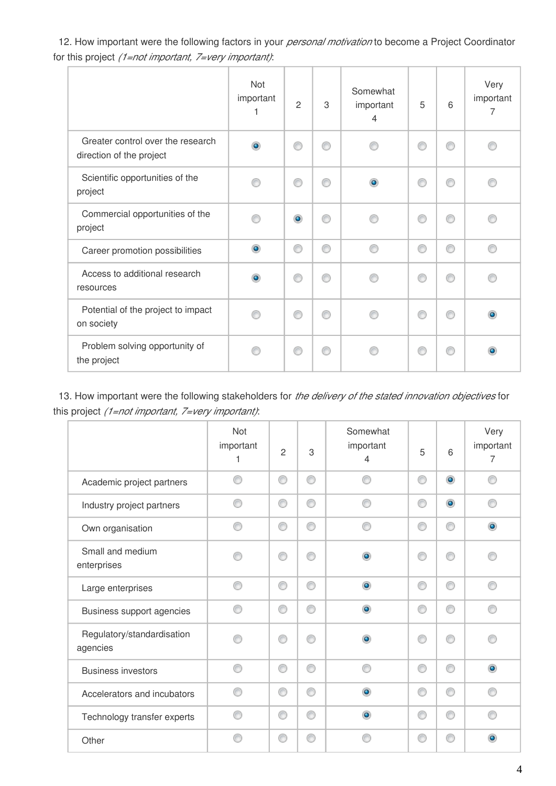12. How important were the following factors in your *personal motivation* to become a Project Coordinator for this project *(1=not important, 7=very important)*:

|                                                               | Not<br>important<br>1 | $\overline{2}$ | 3 | Somewhat<br>important<br>$\overline{4}$ | 5 | 6 | Very<br>important<br>7 |
|---------------------------------------------------------------|-----------------------|----------------|---|-----------------------------------------|---|---|------------------------|
| Greater control over the research<br>direction of the project | $\bullet$             | ⊙              | ⋒ |                                         | ⋒ | ⋒ | ⋒                      |
| Scientific opportunities of the<br>project                    | ⋒                     | ⊙              | ⋒ | ۵                                       | ◎ | ⋒ |                        |
| Commercial opportunities of the<br>project                    |                       | $\circledcirc$ | ⋒ |                                         | ⋒ | ⋒ |                        |
| Career promotion possibilities                                | $\bullet$             | ⊙              | ◉ | ⋒                                       | ⊙ | ⊙ | ⊙                      |
| Access to additional research<br>resources                    | $\bullet$             | ⊙              | ⋒ |                                         | ⊙ | ⋒ |                        |
| Potential of the project to impact<br>on society              |                       | ⊙              | ∩ |                                         | ∩ |   | $\bullet$              |
| Problem solving opportunity of<br>the project                 |                       | ⊙              | e |                                         | ◎ |   | $\bullet$              |

13. How important were the following stakeholders for *the delivery of the stated innovation objectives* for this project *(1=not important, 7=very important)*:

|                                        | Not<br>important<br>1 | $\overline{c}$ | 3 | Somewhat<br>important<br>4 | 5 | 6         | Very<br>important<br>$\overline{7}$ |
|----------------------------------------|-----------------------|----------------|---|----------------------------|---|-----------|-------------------------------------|
| Academic project partners              | ⋒                     | ⊙              | ⊙ | ⋒                          | ⊙ | $\bullet$ | ∩                                   |
| Industry project partners              | ⋒                     | 0              | ⊙ |                            | ⊙ | $\bullet$ | ⊙                                   |
| Own organisation                       |                       | ⊙              | ⊙ |                            | ⊙ | ⊙         | $\bullet$                           |
| Small and medium<br>enterprises        | A                     | ⊙              | ⊙ | ۰                          | ∩ | ⋒         | ∩                                   |
| Large enterprises                      | ⊙                     | 0              | ⊙ | $\bullet$                  | ⊙ | ⊙         | ∩                                   |
| Business support agencies              | ⊙                     | ⊙              | ⊙ | $\bullet$                  | ⊙ | ⊙         | ⊙                                   |
| Regulatory/standardisation<br>agencies |                       | ⊙              | ∩ |                            | ⊙ | ⋒         |                                     |
| <b>Business investors</b>              | ⋒                     | ⊙              | ⊙ | ⋒                          | ⊙ | ⊙         | $\bullet$                           |
| Accelerators and incubators            | ⋒                     | 0              | ⊙ | ۵                          | ⊙ | ⊙         | ∩                                   |
| Technology transfer experts            | ⊙                     | ⊙              | ⊙ | $\bullet$                  | ⊙ | ⊙         | ⊙                                   |
| Other                                  | ⋒                     | ⊙              | ⊙ |                            | C | ⋒         | $\bullet$                           |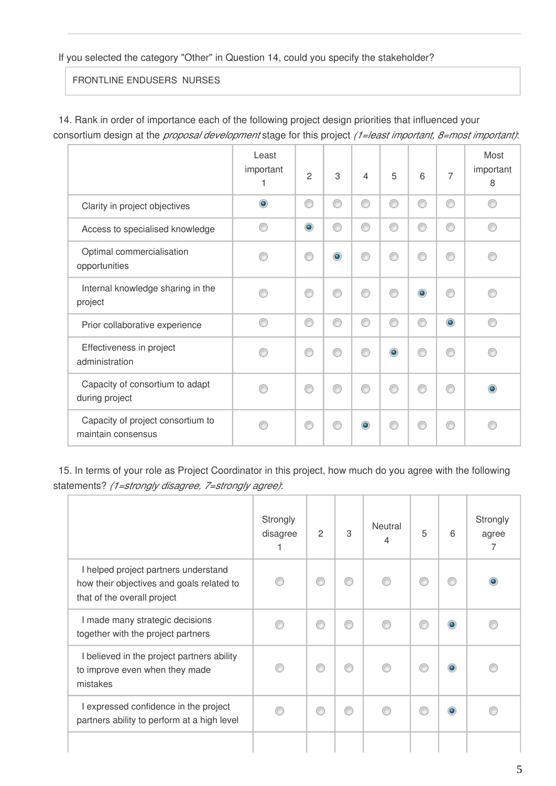If you selected the category "Other" in Question 14, could you specify the stakeholder?

FRONTLINE ENDUSERS NURSES

14. Rank in order of importance each of the following project design priorities that influenced your consortium design at the *proposal development* stage for this project *(1=least important, 8=most important)*:

|                                                         | Least<br>important<br>1 | $\overline{2}$ | 3              | $\overline{4}$ | 5         | 6         | 7         | Most<br>important<br>8 |
|---------------------------------------------------------|-------------------------|----------------|----------------|----------------|-----------|-----------|-----------|------------------------|
| Clarity in project objectives                           | $\bullet$               | ⊙              | C              | ⊙              | ⊙         | ◎         | ⊙         | ∩                      |
| Access to specialised knowledge                         | C                       | $\bullet$      | €              | ⋒              | ◉         | ◎         | ⋒         | ∩                      |
| Optimal commercialisation<br>opportunities              | A                       | ⊙              | $\circledcirc$ | ß              | ∩         | ß         | ⋒         |                        |
| Internal knowledge sharing in the<br>project            |                         | ⊙              | C              | C              | ⊙         | $\bullet$ | ⋒         |                        |
| Prior collaborative experience                          | C                       | ⊙              | 6              | C              | ⊙         | ⋒         | $\bullet$ | ◎                      |
| Effectiveness in project<br>administration              | e                       | ⋒              | ⋒              | ß              | $\bullet$ | B         | ⋒         |                        |
| Capacity of consortium to adapt<br>during project       |                         | ⊙              | ⋒              |                | ⊙         | ⋒         |           | ۰                      |
| Capacity of project consortium to<br>maintain consensus |                         | ⋒              |                | ۰              | ⋒         |           |           |                        |

15. In terms of your role as Project Coordinator in this project, how much do you agree with the following statements? *(1=strongly disagree, 7=strongly agree)*:

|                                                                                                                  | Strongly<br>disagree | 2 | 3 | Neutral<br>$\overline{\mathcal{L}}$ | 5 | 6         | Strongly<br>agree<br>7 |
|------------------------------------------------------------------------------------------------------------------|----------------------|---|---|-------------------------------------|---|-----------|------------------------|
| I helped project partners understand<br>how their objectives and goals related to<br>that of the overall project |                      | ⊙ | ⊙ | ⋒                                   | € |           | ۰                      |
| I made many strategic decisions<br>together with the project partners                                            |                      | € | ⋒ |                                     | C | ۵         |                        |
| I believed in the project partners ability<br>to improve even when they made<br>mistakes                         |                      | C |   |                                     | C |           |                        |
| I expressed confidence in the project<br>partners ability to perform at a high level                             |                      | ⊙ | ⊙ |                                     | € | $\bullet$ |                        |
|                                                                                                                  |                      |   |   |                                     |   |           |                        |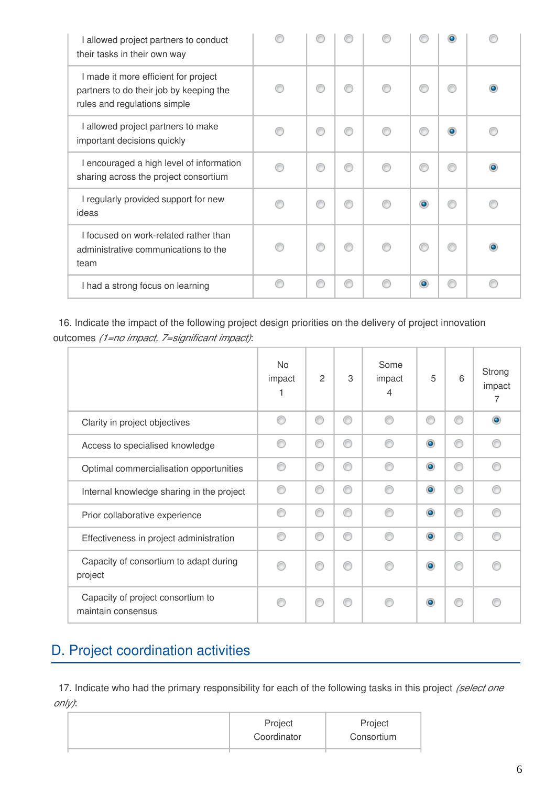| I allowed project partners to conduct<br>their tasks in their own way                                           |   |   |           |  |
|-----------------------------------------------------------------------------------------------------------------|---|---|-----------|--|
| I made it more efficient for project<br>partners to do their job by keeping the<br>rules and regulations simple | ⋒ |   |           |  |
| I allowed project partners to make<br>important decisions quickly                                               | ⋒ |   | ⋒         |  |
| I encouraged a high level of information<br>sharing across the project consortium                               | ⋒ |   | €         |  |
| I regularly provided support for new<br>ideas                                                                   | ∩ |   | $\bullet$ |  |
| I focused on work-related rather than<br>administrative communications to the<br>team                           | C |   | €         |  |
| I had a strong focus on learning                                                                                | ∩ | ⋒ | $\bullet$ |  |

16. Indicate the impact of the following project design priorities on the delivery of project innovation outcomes *(1=no impact, 7=significant impact)*:

|                                                         | <b>No</b><br>impact | $\overline{c}$ | 3 | Some<br>impact<br>4 | 5              | 6 | Strong<br>impact<br>7 |
|---------------------------------------------------------|---------------------|----------------|---|---------------------|----------------|---|-----------------------|
| Clarity in project objectives                           | ⋒                   | ⊙              | ∩ | ⋒                   | ⊙              | ⋒ | $\bullet$             |
| Access to specialised knowledge                         | ⋒                   | ⊙              | ∩ | ⋒                   | $\circledcirc$ | ⋒ | e                     |
| Optimal commercialisation opportunities                 | ⋒                   | ∩              | ⋒ |                     | $\circledcirc$ | ⋒ | e                     |
| Internal knowledge sharing in the project               | ⋒                   | ⊙              | ⊙ | ⋒                   | $\circledcirc$ | ⋒ | ⋒                     |
| Prior collaborative experience                          | ∩                   | ⊙              | ∩ | ⋒                   | $\circledcirc$ | ⋒ | ⋒                     |
| Effectiveness in project administration                 | ⋒                   | ⊙              | ∩ | ⋒                   | $\bullet$      | ⋒ | ⋒                     |
| Capacity of consortium to adapt during<br>project       |                     | ◎              | ⋒ |                     | $\circledcirc$ | ⋒ |                       |
| Capacity of project consortium to<br>maintain consensus | ⋒                   | ⊙              | ⋒ |                     | $\bullet$      | ⋒ |                       |

## D. Project coordination activities

17. Indicate who had the primary responsibility for each of the following tasks in this project *(select one only)*:

| Project<br>Coordinator | Project<br>Consortium |
|------------------------|-----------------------|
|                        |                       |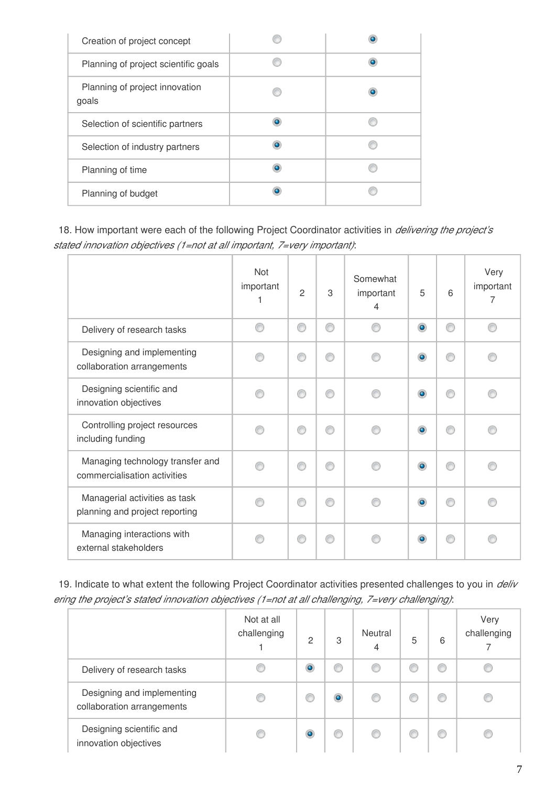| Creation of project concept             |   |  |
|-----------------------------------------|---|--|
| Planning of project scientific goals    |   |  |
| Planning of project innovation<br>goals |   |  |
| Selection of scientific partners        | ۰ |  |
| Selection of industry partners          | o |  |
| Planning of time                        | o |  |
| Planning of budget                      |   |  |

18. How important were each of the following Project Coordinator activities in *delivering the project's stated innovation objectives (1=not at all important, 7=very important)*:

|                                                                  | Not<br>important | $\overline{2}$ | 3 | Somewhat<br>important<br>4 | 5              | 6 | Very<br>important<br>7 |
|------------------------------------------------------------------|------------------|----------------|---|----------------------------|----------------|---|------------------------|
| Delivery of research tasks                                       | ∩                | ◉              | ⋒ | ⋒                          | $\circledcirc$ | ⋒ | ∩                      |
| Designing and implementing<br>collaboration arrangements         |                  | ⋒              |   |                            | $\circledcirc$ |   |                        |
| Designing scientific and<br>innovation objectives                |                  | ⋒              |   |                            | $\bullet$      |   |                        |
| Controlling project resources<br>including funding               |                  | ⋒              | ⋒ |                            | $\bullet$      | C |                        |
| Managing technology transfer and<br>commercialisation activities |                  | ⋒              |   |                            | $\circledcirc$ |   |                        |
| Managerial activities as task<br>planning and project reporting  |                  | ⋒              |   |                            | $\bullet$      |   |                        |
| Managing interactions with<br>external stakeholders              |                  | €              | ⋒ |                            | $\bullet$      | ⋒ |                        |

19. Indicate to what extent the following Project Coordinator activities presented challenges to you in *deliv ering the project's stated innovation objectives (1=not at all challenging, 7=very challenging)*:

|                                                          | Not at all<br>challenging | $\mathfrak{D}$ | 3         | Neutral<br>4 | 5 | 6 | Very<br>challenging |
|----------------------------------------------------------|---------------------------|----------------|-----------|--------------|---|---|---------------------|
| Delivery of research tasks                               |                           | ۱              | €         |              |   | ◎ |                     |
| Designing and implementing<br>collaboration arrangements |                           | w              | $\bullet$ |              |   | C |                     |
| Designing scientific and<br>innovation objectives        |                           | ۰              | €         |              |   | € |                     |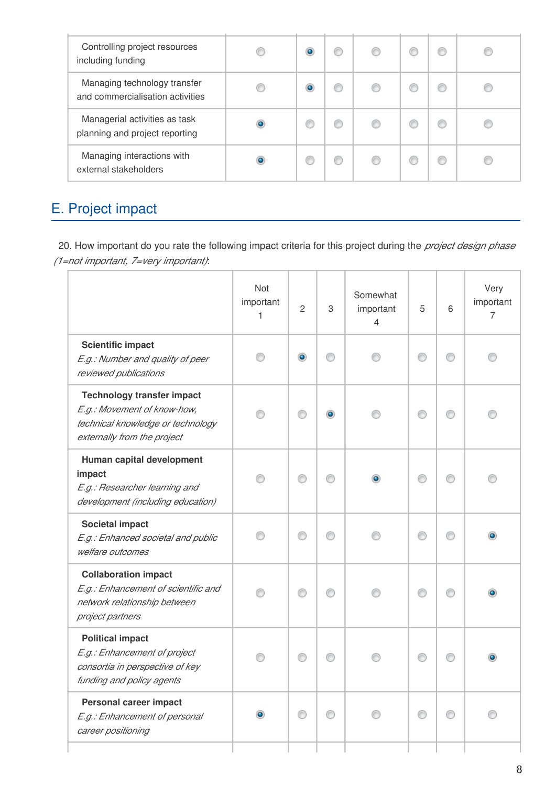| Controlling project resources<br>including funding               | $\bullet$ | C |  |  |
|------------------------------------------------------------------|-----------|---|--|--|
| Managing technology transfer<br>and commercialisation activities |           |   |  |  |
| Managerial activities as task<br>planning and project reporting  |           |   |  |  |
| Managing interactions with<br>external stakeholders              |           |   |  |  |

# E. Project impact

20. How important do you rate the following impact criteria for this project during the *project design phase (1=not important, 7=very important)*:

|                                                                                                                                      | Not<br>important<br>1 | $\overline{c}$ | 3 | Somewhat<br>important<br>$\overline{4}$ | 5 | 6 | Very<br>important<br>$\overline{7}$ |
|--------------------------------------------------------------------------------------------------------------------------------------|-----------------------|----------------|---|-----------------------------------------|---|---|-------------------------------------|
| <b>Scientific impact</b><br>E.g.: Number and quality of peer<br>reviewed publications                                                |                       | ۱              | ⋒ |                                         | ⊙ |   |                                     |
| <b>Technology transfer impact</b><br>E.g.: Movement of know-how,<br>technical knowledge or technology<br>externally from the project |                       |                | ۵ |                                         | ⋒ |   |                                     |
| Human capital development<br>impact<br>E.g.: Researcher learning and<br>development (including education)                            |                       | ∩              |   |                                         | ⋒ |   |                                     |
| <b>Societal impact</b><br>E.g.: Enhanced societal and public<br>welfare outcomes                                                     | ∩                     | ∩              | ∩ | ∩                                       | ⊙ | ⋒ |                                     |
| <b>Collaboration impact</b><br>E.g.: Enhancement of scientific and<br>network relationship between<br>project partners               |                       | ⊙              | ⋒ |                                         | ◎ |   |                                     |
| <b>Political impact</b><br>E.g.: Enhancement of project<br>consortia in perspective of key<br>funding and policy agents              |                       | ∩              | ∩ |                                         | C |   |                                     |
| <b>Personal career impact</b><br>E.g.: Enhancement of personal<br>career positioning                                                 | $\bullet$             | ∩              | ∩ |                                         | ∩ |   |                                     |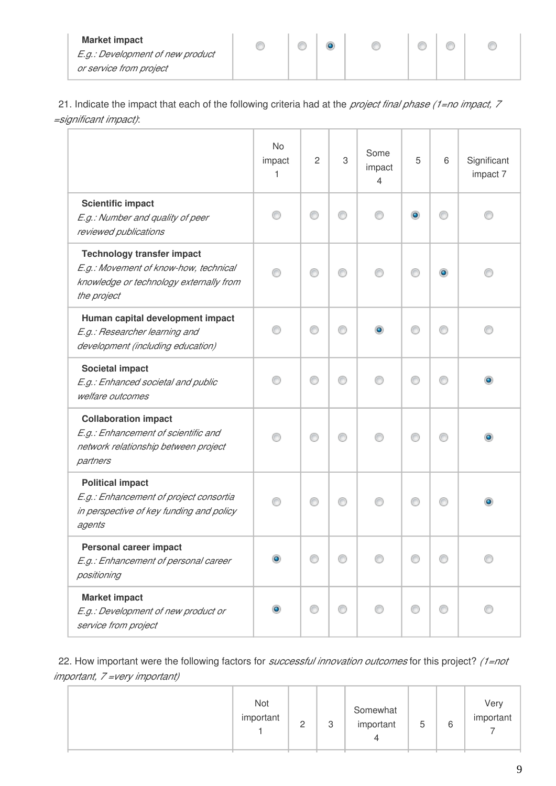| <b>Market impact</b>             |  |  |  |  |
|----------------------------------|--|--|--|--|
| E.g.: Development of new product |  |  |  |  |
| or service from project          |  |  |  |  |

21. Indicate the impact that each of the following criteria had at the *project final phase (1=no impact, 7 =significant impact)*:

|                                                                                                                                      | No<br>impact<br>1 | $\overline{c}$ | 3 | Some<br>impact<br>4 | 5 | 6         | Significant<br>impact 7 |
|--------------------------------------------------------------------------------------------------------------------------------------|-------------------|----------------|---|---------------------|---|-----------|-------------------------|
| <b>Scientific impact</b><br>E.g.: Number and quality of peer<br>reviewed publications                                                |                   | ⊙              | ∩ |                     | ۰ |           |                         |
| <b>Technology transfer impact</b><br>E.g.: Movement of know-how, technical<br>knowledge or technology externally from<br>the project |                   | €              |   |                     |   | $\bullet$ |                         |
| Human capital development impact<br>E.g.: Researcher learning and<br>development (including education)                               |                   | ∩              |   |                     |   |           |                         |
| <b>Societal impact</b><br>E.g.: Enhanced societal and public<br>welfare outcomes                                                     |                   | ⊙              | ∩ |                     | M | O         |                         |
| <b>Collaboration impact</b><br>E.g.: Enhancement of scientific and<br>network relationship between project<br>partners               |                   | ∩              | ⊙ |                     |   |           |                         |
| <b>Political impact</b><br>E.g.: Enhancement of project consortia<br>in perspective of key funding and policy<br>agents              |                   | ⊙              | ⊙ |                     |   |           |                         |
| <b>Personal career impact</b><br>E.g.: Enhancement of personal career<br>positioning                                                 |                   |                |   |                     |   |           |                         |
| <b>Market impact</b><br>E.g.: Development of new product or<br>service from project                                                  |                   | ⋒              |   |                     |   |           |                         |

22. How important were the following factors for *successful innovation outcomes* for this project? *(1=not important, 7 =very important)*

|  | Not<br>important | $\Omega$<br><u>_</u> | 3 | Somewhat<br>important | 'n<br>J | 6 | Very<br>important |
|--|------------------|----------------------|---|-----------------------|---------|---|-------------------|
|--|------------------|----------------------|---|-----------------------|---------|---|-------------------|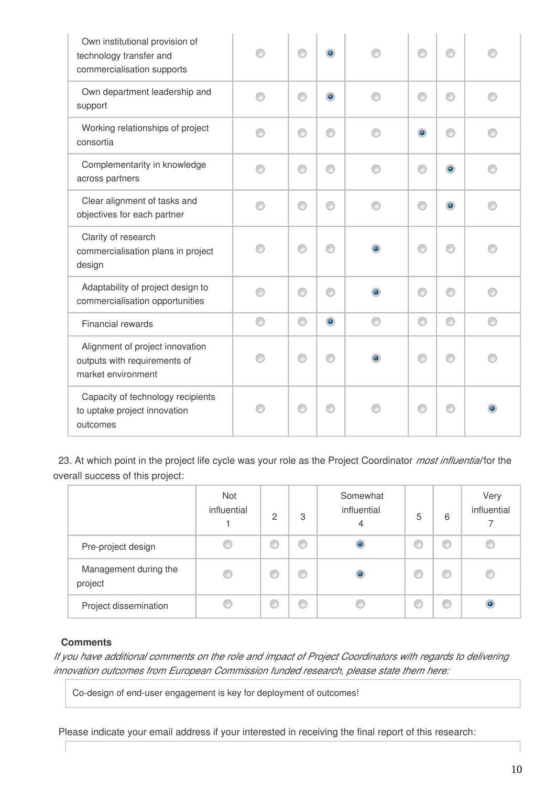| Own institutional provision of<br>technology transfer and<br>commercialisation supports |   | ∩ | $\bullet$ | ⋒         |           |   |
|-----------------------------------------------------------------------------------------|---|---|-----------|-----------|-----------|---|
| Own department leadership and<br>support                                                |   | ⊙ | $\bullet$ | ∩         | ⋒         | ⋒ |
| Working relationships of project<br>consortia                                           |   | ⊙ | ⋒         | $\bullet$ | ⋒         |   |
| Complementarity in knowledge<br>across partners                                         |   | 0 | ∩         | ⊙         | $\bullet$ |   |
| Clear alignment of tasks and<br>objectives for each partner                             |   | ⊙ |           | ∩         | ۰         |   |
| Clarity of research<br>commercialisation plans in project<br>design                     |   | ⊙ |           | ∩         | A         |   |
| Adaptability of project design to<br>commercialisation opportunities                    |   | ⊙ |           | ∩         | ⋒         |   |
| <b>Financial rewards</b>                                                                | ⋒ | 0 | $\bullet$ | O         | ⊙         | ⋒ |
| Alignment of project innovation<br>outputs with requirements of<br>market environment   |   | ⊙ |           | ⋒         |           |   |
| Capacity of technology recipients<br>to uptake project innovation<br>outcomes           |   | ⊙ |           | €         |           |   |

23. At which point in the project life cycle was your role as the Project Coordinator *most influential* for the overall success of this project:

|                                  | Not<br>influential | 2 | 3 | Somewhat<br>influential<br>4 | 5 | 6 | Very<br>influential |
|----------------------------------|--------------------|---|---|------------------------------|---|---|---------------------|
| Pre-project design               | C                  | C | C | ۰                            | O | C |                     |
| Management during the<br>project | C                  | Œ | O | $\bullet$                    | O | O | C                   |
| Project dissemination            |                    | € | C |                              |   | C |                     |

#### **Comments**

*If you have additional comments on the role and impact of Project Coordinators with regards to delivering innovation outcomes from European Commission funded research, please state them here:*

Co-design of end-user engagement is key for deployment of outcomes!

Please indicate your email address if your interested in receiving the final report of this research: